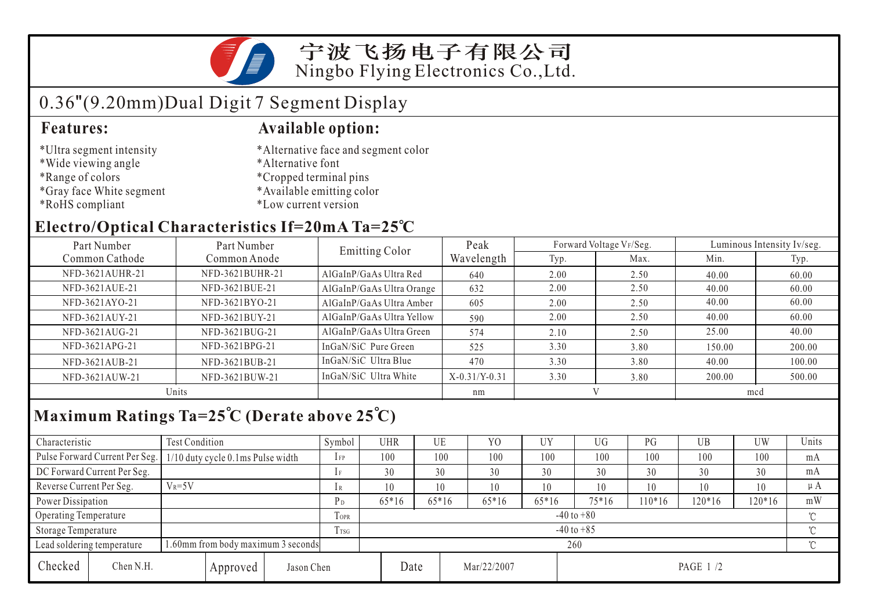

## 0.36"(9.20mm)Dual Digit 7 Segment Display

- \*Ultra segment intensity
- \*Wide viewing angle
- \*Range of colors
- \*Gray face White segment
- \*RoHS compliant

#### **Features: Available option:**

- \*Alternative face and segment color
- \*Alternative font
- \*Cropped terminal pins
- \*Available emitting color
- \*Low current version

### **Electro/Optical Characteristics If=20mA Ta=25 C**

| Part Number     | Part Number     |                           | Peak            |              | Forward Voltage VF/Seg. | Luminous Intensity Iv/seg. |        |  |
|-----------------|-----------------|---------------------------|-----------------|--------------|-------------------------|----------------------------|--------|--|
| Common Cathode  | Common Anode    | Emitting Color            | Wavelength      | Typ.         | Max.                    | Min.                       | Typ.   |  |
| NFD-3621AUHR-21 | NFD-3621BUHR-21 | AlGaInP/GaAs Ultra Red    | 640             | 2.00         | 2.50                    | 40.00                      | 60.00  |  |
| NFD-3621AUE-21  | NFD-3621BUE-21  | AlGaInP/GaAs Ultra Orange | 632             | 2.00         | 2.50                    | 40.00                      | 60.00  |  |
| NFD-3621AYO-21  | NFD-3621BYO-21  | AlGaInP/GaAs Ultra Amber  | 605             | 2.00         | 2.50                    | 40.00                      | 60.00  |  |
| NFD-3621AUY-21  | NFD-3621BUY-21  | AlGaInP/GaAs Ultra Yellow | 590             | 2.00         | 2.50                    | 40.00                      | 60.00  |  |
| NFD-3621AUG-21  | NFD-3621BUG-21  | AlGaInP/GaAs Ultra Green  | 574             | 2.10         | 2.50                    | 25.00                      | 40.00  |  |
| NFD-3621APG-21  | NFD-3621BPG-21  | InGaN/SiC Pure Green      | 525             | 3.30         | 3.80                    | 150.00                     | 200.00 |  |
| NFD-3621AUB-21  | NFD-3621BUB-21  | InGaN/SiC Ultra Blue      | 470             | 3.30         | 3.80                    | 40.00                      | 100.00 |  |
| NFD-3621AUW-21  | NFD-3621BUW-21  | InGaN/SiC Ultra White     | $X-0.31/Y-0.31$ | 3.30         | 3.80                    | 200.00                     | 500.00 |  |
| Units           |                 |                           | nm              | $\mathbf{V}$ |                         | mcd                        |        |  |

## **Maximum Ratings Ta=25 C (Derate above 25 C)**

| Characteristic                                                   |                                     | Test Condition                    |      |      | Symbol         | <b>UHR</b>     |             | UE      | Y <sub>0</sub> | UY        | <b>UG</b> | PG      | UB       | <b>UW</b> | Units    |
|------------------------------------------------------------------|-------------------------------------|-----------------------------------|------|------|----------------|----------------|-------------|---------|----------------|-----------|-----------|---------|----------|-----------|----------|
|                                                                  | Pulse Forward Current Per Seg.      | 1/10 duty cycle 0.1ms Pulse width |      |      | $1$ FP         | 100            |             | 100     | 100            | 100       | 100       | 100     | 100      | 100       | mA       |
|                                                                  | DC Forward Current Per Seg.         |                                   |      |      |                |                | 30          | 30      | 30             | 30        | 30        | 30      | 30       | 30        | mA       |
| Reverse Current Per Seg.                                         |                                     | $V_R = 5V$                        |      |      | 1 R            |                | 10          | 10      | 10             | 10        | 10        | 10      | 10       | 10        | $\mu A$  |
| Power Dissipation                                                |                                     |                                   |      |      | $P_D$          |                | $65*16$     | $65*16$ | $65*16$        | 65*16     | $75*16$   | $10*16$ | $120*16$ | $120*16$  | mW       |
| <b>Operating Temperature</b>                                     |                                     |                                   |      | TOPR |                | $-40$ to $+80$ |             |         |                |           |           |         |          |           |          |
| Storage Temperature                                              |                                     |                                   | TTSG |      | $-40$ to $+85$ |                |             |         |                |           |           |         |          |           |          |
| 1.60mm from body maximum 3 seconds<br>Lead soldering temperature |                                     |                                   |      |      |                | 260            |             |         |                |           |           |         |          |           | $\gamma$ |
| Checked                                                          | Chen N.H.<br>Jason Chen<br>Approved |                                   |      | Date |                |                | Mar/22/2007 |         |                | PAGE 1 /2 |           |         |          |           |          |